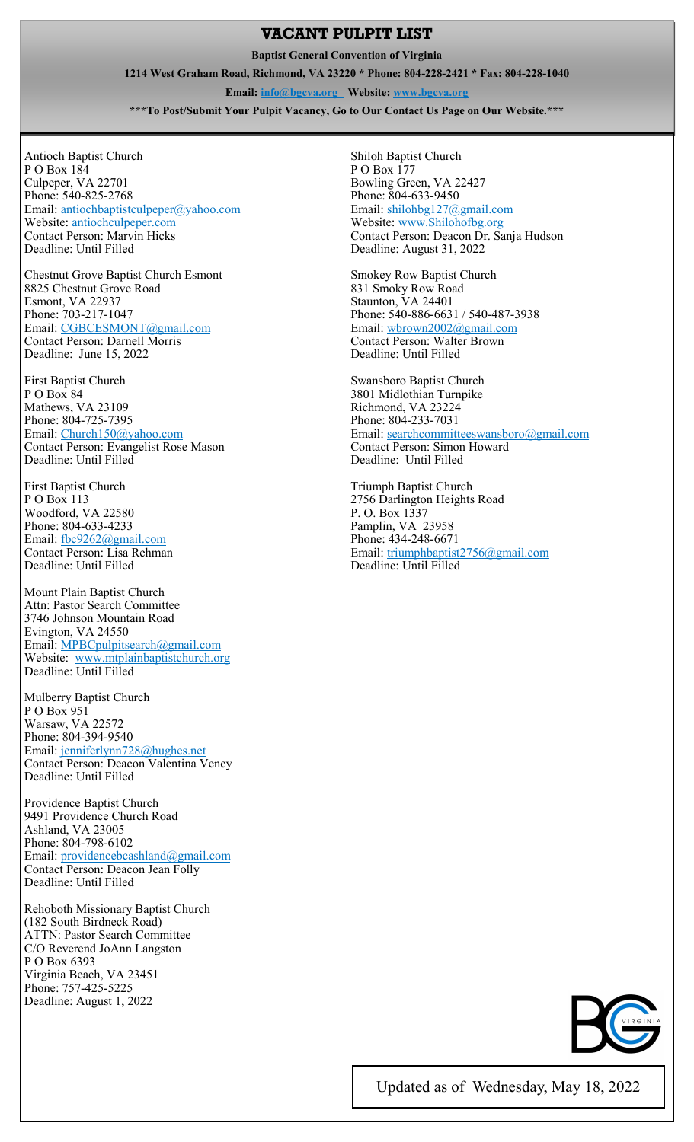## **VACANT PULPIT LIST**

**Baptist General Convention of Virginia** 

**1214 West Graham Road, Richmond, VA 23220 \* Phone: 804-228-2421 \* Fax: 804-228-1040** 

**Email: info@bgcva.org Website: www.bgcva.org** 

**\*\*\*To Post/Submit Your Pulpit Vacancy, Go to Our Contact Us Page on Our Website.\*\*\*** 

Antioch Baptist Church P O Box 184 Culpeper, VA 22701 Phone: 540-825-2768 Email: antiochbaptistculpeper@yahoo.com Website: antiochculpeper.com Contact Person: Marvin Hicks Deadline: Until Filled

Chestnut Grove Baptist Church Esmont 8825 Chestnut Grove Road Esmont, VA 22937 Phone: 703-217-1047 Email: CGBCESMONT@gmail.com Contact Person: Darnell Morris Deadline: June 15, 2022

First Baptist Church P O Box 84 Mathews, VA 23109 Phone: 804-725-7395 Email: Church150@yahoo.com Contact Person: Evangelist Rose Mason Deadline: Until Filled

First Baptist Church P O Box 113 Woodford, VA 22580 Phone: 804-633-4233 Email: fbc9262@gmail.com Contact Person: Lisa Rehman Deadline: Until Filled

Mount Plain Baptist Church Attn: Pastor Search Committee 3746 Johnson Mountain Road Evington, VA 24550 Email: MPBCpulpitsearch@gmail.com Website: www.mtplainbaptistchurch.org Deadline: Until Filled

Mulberry Baptist Church P O Box 951 Warsaw, VA 22572 Phone: 804-394-9540 Email: jenniferlynn728@hughes.net Contact Person: Deacon Valentina Veney Deadline: Until Filled

Providence Baptist Church 9491 Providence Church Road Ashland, VA 23005 Phone: 804-798-6102 Email: providencebcashland@gmail.com Contact Person: Deacon Jean Folly Deadline: Until Filled

Rehoboth Missionary Baptist Church (182 South Birdneck Road) ATTN: Pastor Search Committee C/O Reverend JoAnn Langston P O Box 6393 Virginia Beach, VA 23451 Phone: 757-425-5225 Deadline: August 1, 2022

Shiloh Baptist Church P O Box 177 Bowling Green, VA 22427 Phone: 804-633-9450 Email: shilohbg127@gmail.com Website: www.Shilohofbg.org Contact Person: Deacon Dr. Sanja Hudson Deadline: August 31, 2022

Smokey Row Baptist Church 831 Smoky Row Road Staunton, VA 24401 Phone: 540-886-6631 / 540-487-3938 Email: wbrown2002@gmail.com Contact Person: Walter Brown Deadline: Until Filled

Swansboro Baptist Church 3801 Midlothian Turnpike Richmond, VA 23224 Phone: 804-233-7031 Email: searchcommitteeswansboro@gmail.com Contact Person: Simon Howard Deadline: Until Filled

Triumph Baptist Church 2756 Darlington Heights Road P. O. Box 1337 Pamplin, VA 23958 Phone: 434-248-6671 Email: triumphbaptist2756@gmail.com Deadline: Until Filled



Updated as of Wednesday, May 18, 2022